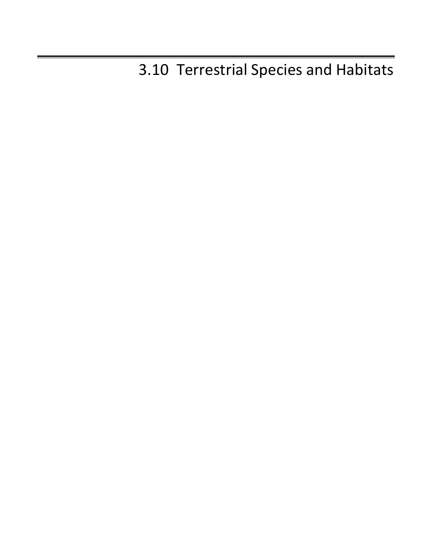3.10 Terrestrial Species and Habitats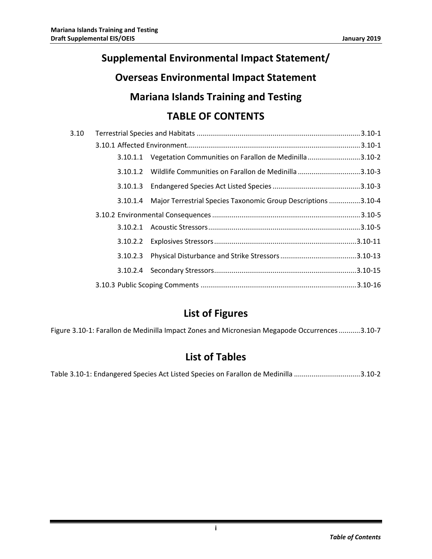# **Supplemental Environmental Impact Statement/**

# **Overseas Environmental Impact Statement**

# **Mariana Islands Training and Testing**

# **TABLE OF CONTENTS**

| 3.10 |          |                                                                |  |
|------|----------|----------------------------------------------------------------|--|
|      |          |                                                                |  |
|      |          | 3.10.1.1 Vegetation Communities on Farallon de Medinilla3.10-2 |  |
|      |          | 3.10.1.2 Wildlife Communities on Farallon de Medinilla 3.10-3  |  |
|      |          |                                                                |  |
|      | 3.10.1.4 | Major Terrestrial Species Taxonomic Group Descriptions 3.10-4  |  |
|      |          |                                                                |  |
|      |          |                                                                |  |
|      |          |                                                                |  |
|      |          |                                                                |  |
|      |          |                                                                |  |
|      |          |                                                                |  |

# **List of Figures**

[Figure 3.10-1: Farallon de Medinilla Impact Zones and Micronesian Megapode Occurrences...........3.10-7](#page-10-0)

# **List of Tables**

[Table 3.10-1: Endangered Species Act Listed Species on Farallon de Medinilla](#page-5-1) ..................................3.10-2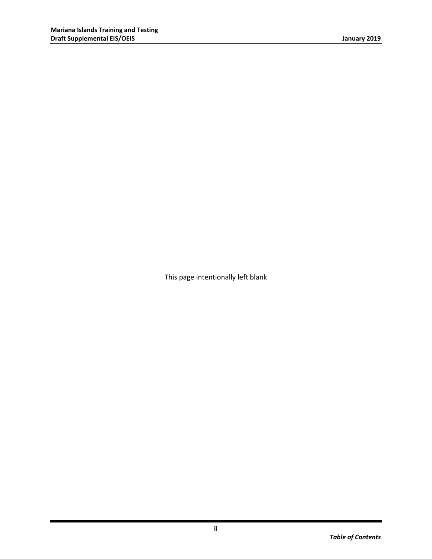This page intentionally left blank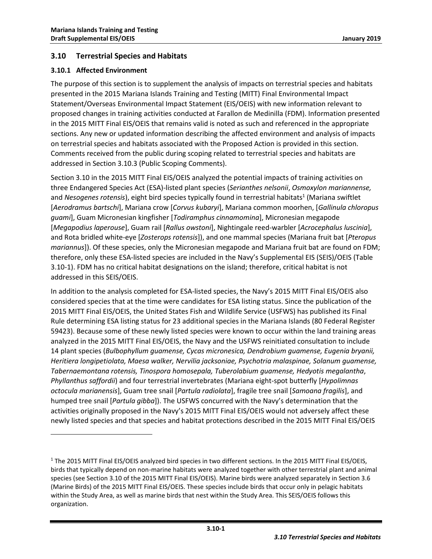## <span id="page-4-0"></span>**3.10 Terrestrial Species and Habitats**

### <span id="page-4-1"></span>**3.10.1 Affected Environment**

l

The purpose of this section is to supplement the analysis of impacts on terrestrial species and habitats presented in the 2015 Mariana Islands Training and Testing (MITT) Final Environmental Impact Statement/Overseas Environmental Impact Statement (EIS/OEIS) with new information relevant to proposed changes in training activities conducted at Farallon de Medinilla (FDM). Information presented in the 2015 MITT Final EIS/OEIS that remains valid is noted as such and referenced in the appropriate sections. Any new or updated information describing the affected environment and analysis of impacts on terrestrial species and habitats associated with the Proposed Action is provided in this section. Comments received from the public during scoping related to terrestrial species and habitats are addressed in Section 3.10.3 (Public Scoping Comments).

Section 3.10 in the 2015 MITT Final EIS/OEIS analyzed the potential impacts of training activities on three Endangered Species Act (ESA)-listed plant species (*Serianthes nelsonii*, *Osmoxylon mariannense,*  and *Nesogenes rotensis*), eight bird species typically found in terrestrial habitats<sup>1</sup> (Mariana swiftlet [*Aerodramus bartschi*], Mariana crow [*Corvus kubaryi*], Mariana common moorhen, [*Gallinula chloropus guami*], Guam Micronesian kingfisher [*Todiramphus cinnamomina*], Micronesian megapode [*Megapodius laperouse*], Guam rail [*Rallus owstoni*], Nightingale reed-warbler [*Acrocephalus luscinia*], and Rota bridled white-eye [*Zosterops rotensis*]), and one mammal species (Mariana fruit bat [*Pteropus mariannus*]). Of these species, only the Micronesian megapode and Mariana fruit bat are found on FDM; therefore, only these ESA-listed species are included in the Navy's Supplemental EIS (SEIS)/OEIS [\(Table](#page-5-1)  [3.10-1\)](#page-5-1). FDM has no critical habitat designations on the island; therefore, critical habitat is not addressed in this SEIS/OEIS.

In addition to the analysis completed for ESA-listed species, the Navy's 2015 MITT Final EIS/OEIS also considered species that at the time were candidates for ESA listing status. Since the publication of the 2015 MITT Final EIS/OEIS, the United States Fish and Wildlife Service (USFWS) has published its Final Rule determining ESA listing status for 23 additional species in the Mariana Islands (80 Federal Register 59423). Because some of these newly listed species were known to occur within the land training areas analyzed in the 2015 MITT Final EIS/OEIS, the Navy and the USFWS reinitiated consultation to include 14 plant species (*Bulbophyllum guamense, Cycas micronesica, Dendrobium guamense, Eugenia bryanii, Heritiera longipetiolata, Maesa walker, Nervilia jacksoniae, Psychotria malaspinae, Solanum guamense, Tabernaemontana rotensis, Tinospora homosepala, Tuberolabium guamense, Hedyotis megalantha*, *Phyllanthus saffordii*) and four terrestrial invertebrates (Mariana eight-spot butterfly [*Hypolimnas octocula marianensis*], Guam tree snail [*Partula radiolata*], fragile tree snail [*Samoana fragilis*], and humped tree snail [*Partula gibba*]). The USFWS concurred with the Navy's determination that the activities originally proposed in the Navy's 2015 MITT Final EIS/OEIS would not adversely affect these newly listed species and that species and habitat protections described in the 2015 MITT Final EIS/OEIS

<sup>&</sup>lt;sup>1</sup> The 2015 MITT Final EIS/OEIS analyzed bird species in two different sections. In the 2015 MITT Final EIS/OEIS, birds that typically depend on non-marine habitats were analyzed together with other terrestrial plant and animal species (see Section 3.10 of the 2015 MITT Final EIS/OEIS). Marine birds were analyzed separately in Section 3.6 (Marine Birds) of the 2015 MITT Final EIS/OEIS. These species include birds that occur only in pelagic habitats within the Study Area, as well as marine birds that nest within the Study Area. This SEIS/OEIS follows this organization.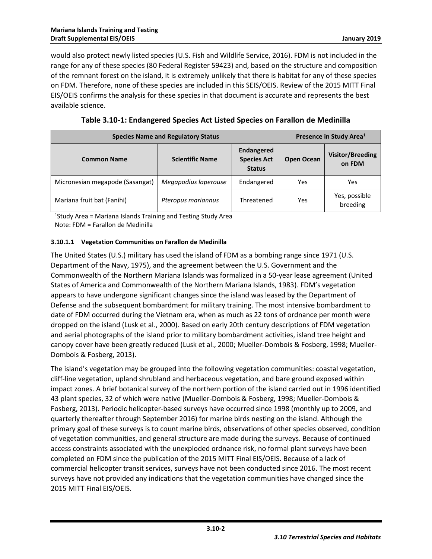would also protect newly listed species [\(U.S. Fish and Wildlife Service, 2016\)](#page-23-0). FDM is not included in the range for any of these species (80 Federal Register 59423) and, based on the structure and composition of the remnant forest on the island, it is extremely unlikely that there is habitat for any of these species on FDM. Therefore, none of these species are included in this SEIS/OEIS. Review of the 2015 MITT Final EIS/OEIS confirms the analysis for these species in that document is accurate and represents the best available science.

<span id="page-5-1"></span>

| <b>Species Name and Regulatory Status</b> | Presence in Study Area <sup>1</sup> |                                                          |                   |                                   |
|-------------------------------------------|-------------------------------------|----------------------------------------------------------|-------------------|-----------------------------------|
| <b>Common Name</b>                        | <b>Scientific Name</b>              | <b>Endangered</b><br><b>Species Act</b><br><b>Status</b> | <b>Open Ocean</b> | <b>Visitor/Breeding</b><br>on FDM |
| Micronesian megapode (Sasangat)           | Megapodius laperouse                | Endangered                                               | Yes               | Yes                               |
| Mariana fruit bat (Fanihi)                | Pteropus mariannus                  | Threatened                                               | Yes               | Yes, possible<br>breeding         |

|  |  |  |  |  | Table 3.10-1: Endangered Species Act Listed Species on Farallon de Medinilla |
|--|--|--|--|--|------------------------------------------------------------------------------|
|--|--|--|--|--|------------------------------------------------------------------------------|

<sup>1</sup>Study Area = Mariana Islands Training and Testing Study Area Note: FDM = Farallon de Medinilla

## <span id="page-5-0"></span>**3.10.1.1 Vegetation Communities on Farallon de Medinilla**

The United States (U.S.) military has used the island of FDM as a bombing range since 1971 [\(U.S.](#page-22-0)  [Department of the Navy, 1975\)](#page-22-0), and the agreement between the U.S. Government and the Commonwealth of the Northern Mariana Islands was formalized in a 50-year lease agreement [\(United](#page-23-1)  [States of America and Commonwealth of the Northern Mariana Islands, 1983\)](#page-23-1). FDM's vegetation appears to have undergone significant changes since the island was leased by the Department of Defense and the subsequent bombardment for military training. The most intensive bombardment to date of FDM occurred during the Vietnam era, when as much as 22 tons of ordnance per month were dropped on the island [\(Lusk et al., 2000\)](#page-22-1). Based on early 20th century descriptions of FDM vegetation and aerial photographs of the island prior to military bombardment activities, island tree height and canopy cover have been greatly reduced [\(Lusk et al., 2000;](#page-22-1) [Mueller-Dombois & Fosberg, 1998;](#page-22-2) [Mueller-](#page-22-3)[Dombois & Fosberg, 2013\)](#page-22-3).

The island's vegetation may be grouped into the following vegetation communities: coastal vegetation, cliff-line vegetation, upland shrubland and herbaceous vegetation, and bare ground exposed within impact zones. A brief botanical survey of the northern portion of the island carried out in 1996 identified 43 plant species, 32 of which were native [\(Mueller-Dombois & Fosberg, 1998;](#page-22-2) [Mueller-Dombois &](#page-22-3)  [Fosberg, 2013\)](#page-22-3). Periodic helicopter-based surveys have occurred since 1998 (monthly up to 2009, and quarterly thereafter through September 2016) for marine birds nesting on the island. Although the primary goal of these surveys is to count marine birds, observations of other species observed, condition of vegetation communities, and general structure are made during the surveys. Because of continued access constraints associated with the unexploded ordnance risk, no formal plant surveys have been completed on FDM since the publication of the 2015 MITT Final EIS/OEIS. Because of a lack of commercial helicopter transit services, surveys have not been conducted since 2016. The most recent surveys have not provided any indications that the vegetation communities have changed since the 2015 MITT Final EIS/OEIS.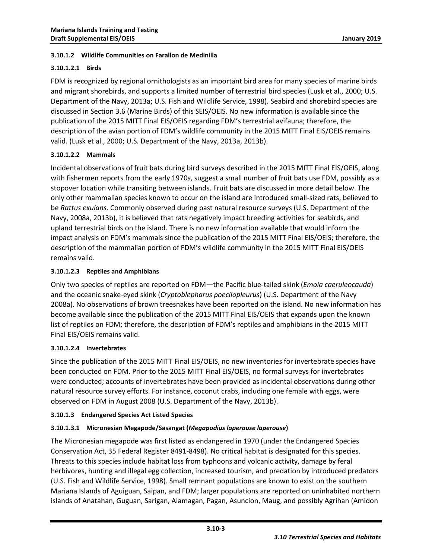### <span id="page-6-0"></span>**3.10.1.2 Wildlife Communities on Farallon de Medinilla**

### **3.10.1.2.1 Birds**

FDM is recognized by regional ornithologists as an important bird area for many species of marine birds and migrant shorebirds, and supports a limited number of terrestrial bird species [\(Lusk et al., 2000;](#page-22-1) [U.S.](#page-22-4)  [Department of the Navy, 2013a;](#page-22-4) [U.S. Fish and Wildlife Service, 1998\)](#page-22-5). Seabird and shorebird species are discussed in Section 3.6 (Marine Birds) of this SEIS/OEIS. No new information is available since the publication of the 2015 MITT Final EIS/OEIS regarding FDM's terrestrial avifauna; therefore, the description of the avian portion of FDM's wildlife community in the 2015 MITT Final EIS/OEIS remains valid. [\(Lusk et al., 2000;](#page-22-1) [U.S. Department of the Navy, 2013a,](#page-22-4) [2013b\)](#page-22-6).

### **3.10.1.2.2 Mammals**

Incidental observations of fruit bats during bird surveys described in the 2015 MITT Final EIS/OEIS, along with fishermen reports from the early 1970s, suggest a small number of fruit bats use FDM, possibly as a stopover location while transiting between islands. Fruit bats are discussed in more detail below. The only other mammalian species known to occur on the island are introduced small-sized rats, believed to be *Rattus exulans*. Commonly observed during past natural resource surveys [\(U.S. Department of the](#page-22-7)  [Navy, 2008a,](#page-22-7) [2013b\)](#page-22-6), it is believed that rats negatively impact breeding activities for seabirds, and upland terrestrial birds on the island. There is no new information available that would inform the impact analysis on FDM's mammals since the publication of the 2015 MITT Final EIS/OEIS; therefore, the description of the mammalian portion of FDM's wildlife community in the 2015 MITT Final EIS/OEIS remains valid.

### **3.10.1.2.3 Reptiles and Amphibians**

Only two species of reptiles are reported on FDM—the Pacific blue-tailed skink (*Emoia caeruleocauda*) and the oceanic snake-eyed skink (*Cryptoblepharus poecilopleurus*) (U.S. Department of the Navy 2008a). No observations of brown treesnakes have been reported on the island. No new information has become available since the publication of the 2015 MITT Final EIS/OEIS that expands upon the known list of reptiles on FDM; therefore, the description of FDM's reptiles and amphibians in the 2015 MITT Final EIS/OEIS remains valid.

### **3.10.1.2.4 Invertebrates**

Since the publication of the 2015 MITT Final EIS/OEIS, no new inventories for invertebrate species have been conducted on FDM. Prior to the 2015 MITT Final EIS/OEIS, no formal surveys for invertebrates were conducted; accounts of invertebrates have been provided as incidental observations during other natural resource survey efforts. For instance, coconut crabs, including one female with eggs, were observed on FDM in August 2008 [\(U.S. Department of the Navy, 2013b\)](#page-22-6).

## <span id="page-6-1"></span>**3.10.1.3 Endangered Species Act Listed Species**

## **3.10.1.3.1 Micronesian Megapode/Sasangat (***Megapodius laperouse laperouse***)**

The Micronesian megapode was first listed as endangered in 1970 (under the Endangered Species Conservation Act, 35 Federal Register 8491-8498). No critical habitat is designated for this species. Threats to this species include habitat loss from typhoons and volcanic activity, damage by feral herbivores, hunting and illegal egg collection, increased tourism, and predation by introduced predators [\(U.S. Fish and Wildlife Service, 1998\)](#page-22-5). Small remnant populations are known to exist on the southern Mariana Islands of Aguiguan, Saipan, and FDM; larger populations are reported on uninhabited northern islands of Anatahan, Guguan, Sarigan, Alamagan, Pagan, Asuncion, Maug, and possibly Agrihan [\(Amidon](#page-22-8)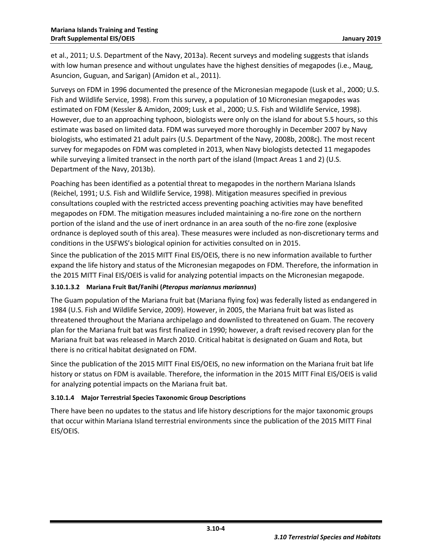[et al., 2011;](#page-22-8) [U.S. Department of the Navy, 2013a\)](#page-22-4). Recent surveys and modeling suggests that islands with low human presence and without ungulates have the highest densities of megapodes (i.e., Maug, Asuncion, Guguan, and Sarigan) [\(Amidon et al., 2011\)](#page-22-8).

Surveys on FDM in 1996 documented the presence of the Micronesian megapode [\(Lusk et al., 2000;](#page-22-1) [U.S.](#page-22-5)  [Fish and Wildlife Service, 1998\)](#page-22-5). From this survey, a population of 10 Micronesian megapodes was estimated on FDM [\(Kessler & Amidon, 2009;](#page-22-9) [Lusk et al., 2000;](#page-22-1) [U.S. Fish and Wildlife Service, 1998\)](#page-22-5). However, due to an approaching typhoon, biologists were only on the island for about 5.5 hours, so this estimate was based on limited data. FDM was surveyed more thoroughly in December 2007 by Navy biologists, who estimated 21 adult pairs [\(U.S. Department of the Navy, 2008b,](#page-22-10) [2008c\)](#page-22-11). The most recent survey for megapodes on FDM was completed in 2013, when Navy biologists detected 11 megapodes while surveying a limited transect in the north part of the island (Impact Areas 1 and 2) (U.S. [Department of the Navy, 2013b\)](#page-22-6).

Poaching has been identified as a potential threat to megapodes in the northern Mariana Islands [\(Reichel, 1991;](#page-22-12) [U.S. Fish and Wildlife Service, 1998\)](#page-22-5). Mitigation measures specified in previous consultations coupled with the restricted access preventing poaching activities may have benefited megapodes on FDM. The mitigation measures included maintaining a no-fire zone on the northern portion of the island and the use of inert ordnance in an area south of the no-fire zone (explosive ordnance is deployed south of this area). These measures were included as non-discretionary terms and conditions in the USFWS's biological opinion for activities consulted on in 2015.

Since the publication of the 2015 MITT Final EIS/OEIS, there is no new information available to further expand the life history and status of the Micronesian megapodes on FDM. Therefore, the information in the 2015 MITT Final EIS/OEIS is valid for analyzing potential impacts on the Micronesian megapode.

### **3.10.1.3.2 Mariana Fruit Bat/Fanihi (***Pteropus mariannus mariannus***)**

The Guam population of the Mariana fruit bat (Mariana flying fox) was federally listed as endangered in 1984 [\(U.S. Fish and Wildlife Service, 2009\)](#page-23-2). However, in 2005, the Mariana fruit bat was listed as threatened throughout the Mariana archipelago and downlisted to threatened on Guam. The recovery plan for the Mariana fruit bat was first finalized in 1990; however, a draft revised recovery plan for the Mariana fruit bat was released in March 2010. Critical habitat is designated on Guam and Rota, but there is no critical habitat designated on FDM.

Since the publication of the 2015 MITT Final EIS/OEIS, no new information on the Mariana fruit bat life history or status on FDM is available. Therefore, the information in the 2015 MITT Final EIS/OEIS is valid for analyzing potential impacts on the Mariana fruit bat.

## <span id="page-7-0"></span>**3.10.1.4 Major Terrestrial Species Taxonomic Group Descriptions**

There have been no updates to the status and life history descriptions for the major taxonomic groups that occur within Mariana Island terrestrial environments since the publication of the 2015 MITT Final EIS/OEIS.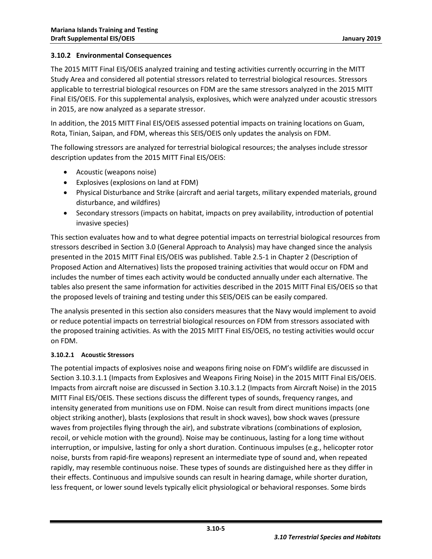### <span id="page-8-0"></span>**3.10.2 Environmental Consequences**

The 2015 MITT Final EIS/OEIS analyzed training and testing activities currently occurring in the MITT Study Area and considered all potential stressors related to terrestrial biological resources. Stressors applicable to terrestrial biological resources on FDM are the same stressors analyzed in the 2015 MITT Final EIS/OEIS. For this supplemental analysis, explosives, which were analyzed under acoustic stressors in 2015, are now analyzed as a separate stressor.

In addition, the 2015 MITT Final EIS/OEIS assessed potential impacts on training locations on Guam, Rota, Tinian, Saipan, and FDM, whereas this SEIS/OEIS only updates the analysis on FDM.

The following stressors are analyzed for terrestrial biological resources; the analyses include stressor description updates from the 2015 MITT Final EIS/OEIS:

- Acoustic (weapons noise)
- Explosives (explosions on land at FDM)
- Physical Disturbance and Strike (aircraft and aerial targets, military expended materials, ground disturbance, and wildfires)
- Secondary stressors (impacts on habitat, impacts on prey availability, introduction of potential invasive species)

This section evaluates how and to what degree potential impacts on terrestrial biological resources from stressors described in Section 3.0 (General Approach to Analysis) may have changed since the analysis presented in the 2015 MITT Final EIS/OEIS was published. Table 2.5-1 in Chapter 2 (Description of Proposed Action and Alternatives) lists the proposed training activities that would occur on FDM and includes the number of times each activity would be conducted annually under each alternative. The tables also present the same information for activities described in the 2015 MITT Final EIS/OEIS so that the proposed levels of training and testing under this SEIS/OEIS can be easily compared.

The analysis presented in this section also considers measures that the Navy would implement to avoid or reduce potential impacts on terrestrial biological resources on FDM from stressors associated with the proposed training activities. As with the 2015 MITT Final EIS/OEIS, no testing activities would occur on FDM.

### <span id="page-8-1"></span>**3.10.2.1 Acoustic Stressors**

The potential impacts of explosives noise and weapons firing noise on FDM's wildlife are discussed in Section 3.10.3.1.1 (Impacts from Explosives and Weapons Firing Noise) in the 2015 MITT Final EIS/OEIS. Impacts from aircraft noise are discussed in Section 3.10.3.1.2 (Impacts from Aircraft Noise) in the 2015 MITT Final EIS/OEIS. These sections discuss the different types of sounds, frequency ranges, and intensity generated from munitions use on FDM. Noise can result from direct munitions impacts (one object striking another), blasts (explosions that result in shock waves), bow shock waves (pressure waves from projectiles flying through the air), and substrate vibrations (combinations of explosion, recoil, or vehicle motion with the ground). Noise may be continuous, lasting for a long time without interruption, or impulsive, lasting for only a short duration. Continuous impulses (e.g., helicopter rotor noise, bursts from rapid-fire weapons) represent an intermediate type of sound and, when repeated rapidly, may resemble continuous noise. These types of sounds are distinguished here as they differ in their effects. Continuous and impulsive sounds can result in hearing damage, while shorter duration, less frequent, or lower sound levels typically elicit physiological or behavioral responses. Some birds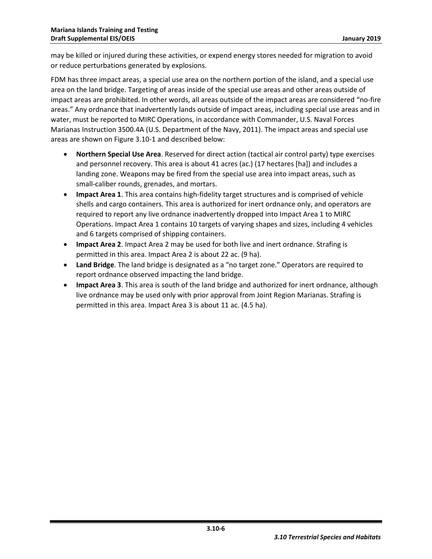may be killed or injured during these activities, or expend energy stores needed for migration to avoid or reduce perturbations generated by explosions.

FDM has three impact areas, a special use area on the northern portion of the island, and a special use area on the land bridge. Targeting of areas inside of the special use areas and other areas outside of impact areas are prohibited. In other words, all areas outside of the impact areas are considered "no-fire areas." Any ordnance that inadvertently lands outside of impact areas, including special use areas and in water, must be reported to MIRC Operations, in accordance with Commander, U.S. Naval Forces Marianas Instruction 3500.4A [\(U.S. Department of the Navy, 2011\)](#page-22-13). The impact areas and special use areas are shown on Figure 3.10-1 and described below:

- **Northern Special Use Area**. Reserved for direct action (tactical air control party) type exercises and personnel recovery. This area is about 41 acres (ac.) (17 hectares [ha]) and includes a landing zone. Weapons may be fired from the special use area into impact areas, such as small-caliber rounds, grenades, and mortars.
- **Impact Area 1**. This area contains high-fidelity target structures and is comprised of vehicle shells and cargo containers. This area is authorized for inert ordnance only, and operators are required to report any live ordnance inadvertently dropped into Impact Area 1 to MIRC Operations. Impact Area 1 contains 10 targets of varying shapes and sizes, including 4 vehicles and 6 targets comprised of shipping containers.
- **Impact Area 2**. Impact Area 2 may be used for both live and inert ordnance. Strafing is permitted in this area. Impact Area 2 is about 22 ac. (9 ha).
- **Land Bridge**. The land bridge is designated as a "no target zone." Operators are required to report ordnance observed impacting the land bridge.
- **Impact Area 3**. This area is south of the land bridge and authorized for inert ordnance, although live ordnance may be used only with prior approval from Joint Region Marianas. Strafing is permitted in this area. Impact Area 3 is about 11 ac. (4.5 ha).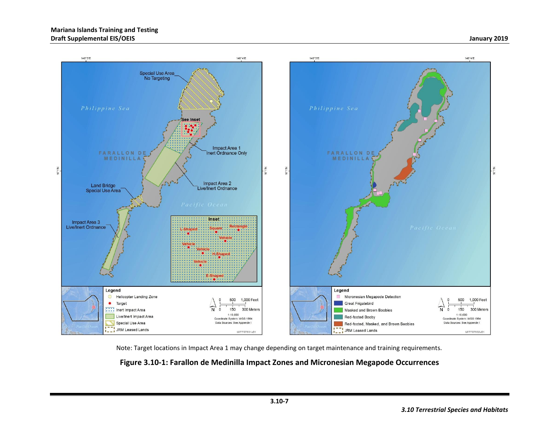

Note: Target locations in Impact Area 1 may change depending on target maintenance and training requirements.

## <span id="page-10-0"></span>**Figure 3.10-1: Farallon de Medinilla Impact Zones and Micronesian Megapode Occurrences**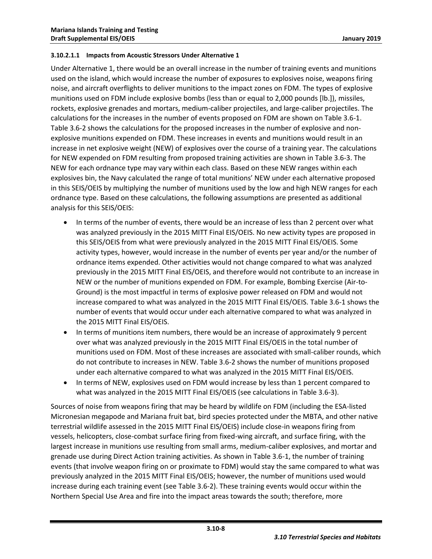#### **3.10.2.1.1 Impacts from Acoustic Stressors Under Alternative 1**

Under Alternative 1, there would be an overall increase in the number of training events and munitions used on the island, which would increase the number of exposures to explosives noise, weapons firing noise, and aircraft overflights to deliver munitions to the impact zones on FDM. The types of explosive munitions used on FDM include explosive bombs (less than or equal to 2,000 pounds [lb.]), missiles, rockets, explosive grenades and mortars, medium-caliber projectiles, and large-caliber projectiles. The calculations for the increases in the number of events proposed on FDM are shown on Table 3.6-1. Table 3.6-2 shows the calculations for the proposed increases in the number of explosive and nonexplosive munitions expended on FDM. These increases in events and munitions would result in an increase in net explosive weight (NEW) of explosives over the course of a training year. The calculations for NEW expended on FDM resulting from proposed training activities are shown in Table 3.6-3. The NEW for each ordnance type may vary within each class. Based on these NEW ranges within each explosives bin, the Navy calculated the range of total munitions' NEW under each alternative proposed in this SEIS/OEIS by multiplying the number of munitions used by the low and high NEW ranges for each ordnance type. Based on these calculations, the following assumptions are presented as additional analysis for this SEIS/OEIS:

- In terms of the number of events, there would be an increase of less than 2 percent over what was analyzed previously in the 2015 MITT Final EIS/OEIS. No new activity types are proposed in this SEIS/OEIS from what were previously analyzed in the 2015 MITT Final EIS/OEIS. Some activity types, however, would increase in the number of events per year and/or the number of ordnance items expended. Other activities would not change compared to what was analyzed previously in the 2015 MITT Final EIS/OEIS, and therefore would not contribute to an increase in NEW or the number of munitions expended on FDM. For example, Bombing Exercise (Air-to-Ground) is the most impactful in terms of explosive power released on FDM and would not increase compared to what was analyzed in the 2015 MITT Final EIS/OEIS. Table 3.6-1 shows the number of events that would occur under each alternative compared to what was analyzed in the 2015 MITT Final EIS/OEIS.
- In terms of munitions item numbers, there would be an increase of approximately 9 percent over what was analyzed previously in the 2015 MITT Final EIS/OEIS in the total number of munitions used on FDM. Most of these increases are associated with small-caliber rounds, which do not contribute to increases in NEW. Table 3.6-2 shows the number of munitions proposed under each alternative compared to what was analyzed in the 2015 MITT Final EIS/OEIS.
- In terms of NEW, explosives used on FDM would increase by less than 1 percent compared to what was analyzed in the 2015 MITT Final EIS/OEIS (see calculations in Table 3.6-3).

Sources of noise from weapons firing that may be heard by wildlife on FDM (including the ESA-listed Micronesian megapode and Mariana fruit bat, bird species protected under the MBTA, and other native terrestrial wildlife assessed in the 2015 MITT Final EIS/OEIS) include close-in weapons firing from vessels, helicopters, close-combat surface firing from fixed-wing aircraft, and surface firing, with the largest increase in munitions use resulting from small arms, medium-caliber explosives, and mortar and grenade use during Direct Action training activities. As shown in Table 3.6-1, the number of training events (that involve weapon firing on or proximate to FDM) would stay the same compared to what was previously analyzed in the 2015 MITT Final EIS/OEIS; however, the number of munitions used would increase during each training event (see Table 3.6-2). These training events would occur within the Northern Special Use Area and fire into the impact areas towards the south; therefore, more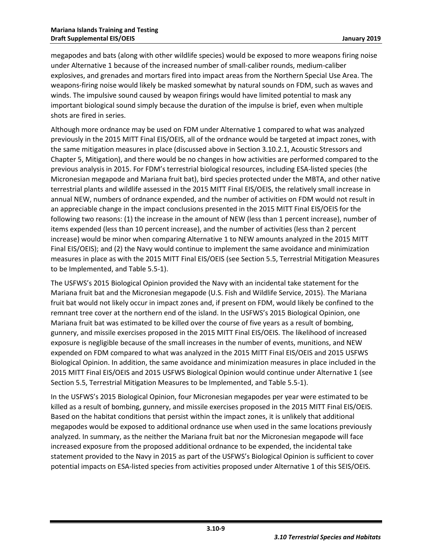megapodes and bats (along with other wildlife species) would be exposed to more weapons firing noise under Alternative 1 because of the increased number of small-caliber rounds, medium-caliber explosives, and grenades and mortars fired into impact areas from the Northern Special Use Area. The weapons-firing noise would likely be masked somewhat by natural sounds on FDM, such as waves and winds. The impulsive sound caused by weapon firings would have limited potential to mask any important biological sound simply because the duration of the impulse is brief, even when multiple shots are fired in series.

Although more ordnance may be used on FDM under Alternative 1 compared to what was analyzed previously in the 2015 MITT Final EIS/OEIS, all of the ordnance would be targeted at impact zones, with the same mitigation measures in place (discussed above in Section 3.10.2.1, Acoustic Stressors and Chapter 5, Mitigation), and there would be no changes in how activities are performed compared to the previous analysis in 2015. For FDM's terrestrial biological resources, including ESA-listed species (the Micronesian megapode and Mariana fruit bat), bird species protected under the MBTA, and other native terrestrial plants and wildlife assessed in the 2015 MITT Final EIS/OEIS, the relatively small increase in annual NEW, numbers of ordnance expended, and the number of activities on FDM would not result in an appreciable change in the impact conclusions presented in the 2015 MITT Final EIS/OEIS for the following two reasons: (1) the increase in the amount of NEW (less than 1 percent increase), number of items expended (less than 10 percent increase), and the number of activities (less than 2 percent increase) would be minor when comparing Alternative 1 to NEW amounts analyzed in the 2015 MITT Final EIS/OEIS); and (2) the Navy would continue to implement the same avoidance and minimization measures in place as with the 2015 MITT Final EIS/OEIS (see Section 5.5, Terrestrial Mitigation Measures to be Implemented, and Table 5.5-1).

The USFWS's 2015 Biological Opinion provided the Navy with an incidental take statement for the Mariana fruit bat and the Micronesian megapode (U.S. Fish and Wildlife Service, 2015). The Mariana fruit bat would not likely occur in impact zones and, if present on FDM, would likely be confined to the remnant tree cover at the northern end of the island. In the USFWS's 2015 Biological Opinion, one Mariana fruit bat was estimated to be killed over the course of five years as a result of bombing, gunnery, and missile exercises proposed in the 2015 MITT Final EIS/OEIS. The likelihood of increased exposure is negligible because of the small increases in the number of events, munitions, and NEW expended on FDM compared to what was analyzed in the 2015 MITT Final EIS/OEIS and 2015 USFWS Biological Opinion. In addition, the same avoidance and minimization measures in place included in the 2015 MITT Final EIS/OEIS and 2015 USFWS Biological Opinion would continue under Alternative 1 (see Section 5.5, Terrestrial Mitigation Measures to be Implemented, and Table 5.5-1).

In the USFWS's 2015 Biological Opinion, four Micronesian megapodes per year were estimated to be killed as a result of bombing, gunnery, and missile exercises proposed in the 2015 MITT Final EIS/OEIS. Based on the habitat conditions that persist within the impact zones, it is unlikely that additional megapodes would be exposed to additional ordnance use when used in the same locations previously analyzed. In summary, as the neither the Mariana fruit bat nor the Micronesian megapode will face increased exposure from the proposed additional ordnance to be expended, the incidental take statement provided to the Navy in 2015 as part of the USFWS's Biological Opinion is sufficient to cover potential impacts on ESA-listed species from activities proposed under Alternative 1 of this SEIS/OEIS.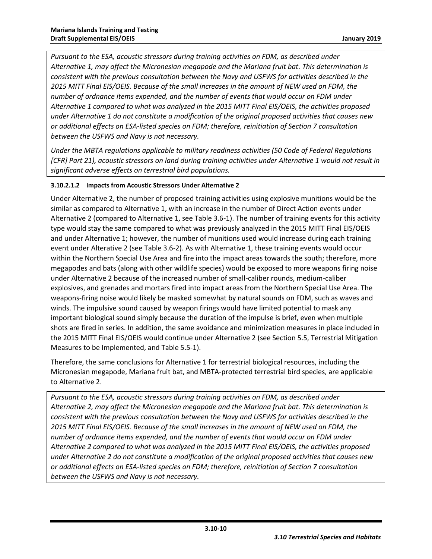*Pursuant to the ESA, acoustic stressors during training activities on FDM, as described under Alternative 1, may affect the Micronesian megapode and the Mariana fruit bat. This determination is consistent with the previous consultation between the Navy and USFWS for activities described in the 2015 MITT Final EIS/OEIS. Because of the small increases in the amount of NEW used on FDM, the number of ordnance items expended, and the number of events that would occur on FDM under Alternative 1 compared to what was analyzed in the 2015 MITT Final EIS/OEIS, the activities proposed under Alternative 1 do not constitute a modification of the original proposed activities that causes new or additional effects on ESA-listed species on FDM; therefore, reinitiation of Section 7 consultation between the USFWS and Navy is not necessary.*

*Under the MBTA regulations applicable to military readiness activities (50 Code of Federal Regulations [CFR] Part 21), acoustic stressors on land during training activities under Alternative 1 would not result in significant adverse effects on terrestrial bird populations.*

#### **3.10.2.1.2 Impacts from Acoustic Stressors Under Alternative 2**

Under Alternative 2, the number of proposed training activities using explosive munitions would be the similar as compared to Alternative 1, with an increase in the number of Direct Action events under Alternative 2 (compared to Alternative 1, see Table 3.6-1). The number of training events for this activity type would stay the same compared to what was previously analyzed in the 2015 MITT Final EIS/OEIS and under Alternative 1; however, the number of munitions used would increase during each training event under Alterative 2 (see Table 3.6-2). As with Alternative 1, these training events would occur within the Northern Special Use Area and fire into the impact areas towards the south; therefore, more megapodes and bats (along with other wildlife species) would be exposed to more weapons firing noise under Alternative 2 because of the increased number of small-caliber rounds, medium-caliber explosives, and grenades and mortars fired into impact areas from the Northern Special Use Area. The weapons-firing noise would likely be masked somewhat by natural sounds on FDM, such as waves and winds. The impulsive sound caused by weapon firings would have limited potential to mask any important biological sound simply because the duration of the impulse is brief, even when multiple shots are fired in series. In addition, the same avoidance and minimization measures in place included in the 2015 MITT Final EIS/OEIS would continue under Alternative 2 (see Section 5.5, Terrestrial Mitigation Measures to be Implemented, and Table 5.5-1).

Therefore, the same conclusions for Alternative 1 for terrestrial biological resources, including the Micronesian megapode, Mariana fruit bat, and MBTA-protected terrestrial bird species, are applicable to Alternative 2.

*Pursuant to the ESA, acoustic stressors during training activities on FDM, as described under Alternative 2, may affect the Micronesian megapode and the Mariana fruit bat. This determination is consistent with the previous consultation between the Navy and USFWS for activities described in the 2015 MITT Final EIS/OEIS. Because of the small increases in the amount of NEW used on FDM, the number of ordnance items expended, and the number of events that would occur on FDM under Alternative 2 compared to what was analyzed in the 2015 MITT Final EIS/OEIS, the activities proposed under Alternative 2 do not constitute a modification of the original proposed activities that causes new or additional effects on ESA-listed species on FDM; therefore, reinitiation of Section 7 consultation between the USFWS and Navy is not necessary.*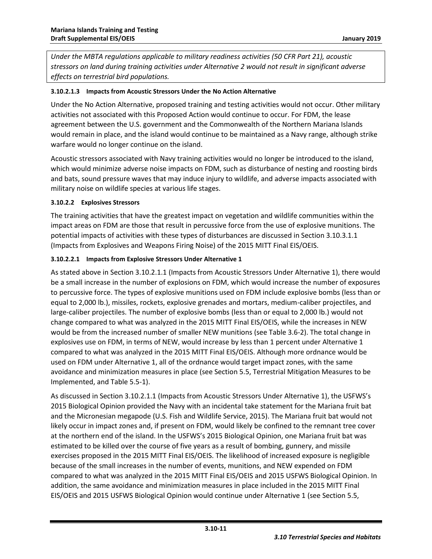*Under the MBTA regulations applicable to military readiness activities (50 CFR Part 21), acoustic stressors on land during training activities under Alternative 2 would not result in significant adverse effects on terrestrial bird populations.*

#### **3.10.2.1.3 Impacts from Acoustic Stressors Under the No Action Alternative**

Under the No Action Alternative, proposed training and testing activities would not occur. Other military activities not associated with this Proposed Action would continue to occur. For FDM, the lease agreement between the U.S. government and the Commonwealth of the Northern Mariana Islands would remain in place, and the island would continue to be maintained as a Navy range, although strike warfare would no longer continue on the island.

Acoustic stressors associated with Navy training activities would no longer be introduced to the island, which would minimize adverse noise impacts on FDM, such as disturbance of nesting and roosting birds and bats, sound pressure waves that may induce injury to wildlife, and adverse impacts associated with military noise on wildlife species at various life stages.

#### <span id="page-14-0"></span>**3.10.2.2 Explosives Stressors**

The training activities that have the greatest impact on vegetation and wildlife communities within the impact areas on FDM are those that result in percussive force from the use of explosive munitions. The potential impacts of activities with these types of disturbances are discussed in Section 3.10.3.1.1 (Impacts from Explosives and Weapons Firing Noise) of the 2015 MITT Final EIS/OEIS.

#### **3.10.2.2.1 Impacts from Explosive Stressors Under Alternative 1**

As stated above in Section 3.10.2.1.1 (Impacts from Acoustic Stressors Under Alternative 1), there would be a small increase in the number of explosions on FDM, which would increase the number of exposures to percussive force. The types of explosive munitions used on FDM include explosive bombs (less than or equal to 2,000 lb.), missiles, rockets, explosive grenades and mortars, medium-caliber projectiles, and large-caliber projectiles. The number of explosive bombs (less than or equal to 2,000 lb.) would not change compared to what was analyzed in the 2015 MITT Final EIS/OEIS, while the increases in NEW would be from the increased number of smaller NEW munitions (see Table 3.6-2). The total change in explosives use on FDM, in terms of NEW, would increase by less than 1 percent under Alternative 1 compared to what was analyzed in the 2015 MITT Final EIS/OEIS. Although more ordnance would be used on FDM under Alternative 1, all of the ordnance would target impact zones, with the same avoidance and minimization measures in place (see Section 5.5, Terrestrial Mitigation Measures to be Implemented, and Table 5.5-1).

As discussed in Section 3.10.2.1.1 (Impacts from Acoustic Stressors Under Alternative 1), the USFWS's 2015 Biological Opinion provided the Navy with an incidental take statement for the Mariana fruit bat and the Micronesian megapode (U.S. Fish and Wildlife Service, 2015). The Mariana fruit bat would not likely occur in impact zones and, if present on FDM, would likely be confined to the remnant tree cover at the northern end of the island. In the USFWS's 2015 Biological Opinion, one Mariana fruit bat was estimated to be killed over the course of five years as a result of bombing, gunnery, and missile exercises proposed in the 2015 MITT Final EIS/OEIS. The likelihood of increased exposure is negligible because of the small increases in the number of events, munitions, and NEW expended on FDM compared to what was analyzed in the 2015 MITT Final EIS/OEIS and 2015 USFWS Biological Opinion. In addition, the same avoidance and minimization measures in place included in the 2015 MITT Final EIS/OEIS and 2015 USFWS Biological Opinion would continue under Alternative 1 (see Section 5.5,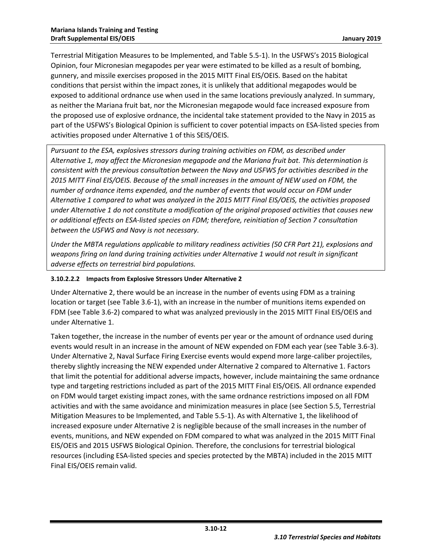Terrestrial Mitigation Measures to be Implemented, and Table 5.5-1). In the USFWS's 2015 Biological Opinion, four Micronesian megapodes per year were estimated to be killed as a result of bombing, gunnery, and missile exercises proposed in the 2015 MITT Final EIS/OEIS. Based on the habitat conditions that persist within the impact zones, it is unlikely that additional megapodes would be exposed to additional ordnance use when used in the same locations previously analyzed. In summary, as neither the Mariana fruit bat, nor the Micronesian megapode would face increased exposure from the proposed use of explosive ordnance, the incidental take statement provided to the Navy in 2015 as part of the USFWS's Biological Opinion is sufficient to cover potential impacts on ESA-listed species from activities proposed under Alternative 1 of this SEIS/OEIS.

*Pursuant to the ESA, explosives stressors during training activities on FDM, as described under Alternative 1, may affect the Micronesian megapode and the Mariana fruit bat. This determination is consistent with the previous consultation between the Navy and USFWS for activities described in the 2015 MITT Final EIS/OEIS. Because of the small increases in the amount of NEW used on FDM, the number of ordnance items expended, and the number of events that would occur on FDM under Alternative 1 compared to what was analyzed in the 2015 MITT Final EIS/OEIS, the activities proposed under Alternative 1 do not constitute a modification of the original proposed activities that causes new or additional effects on ESA-listed species on FDM; therefore, reinitiation of Section 7 consultation between the USFWS and Navy is not necessary.*

*Under the MBTA regulations applicable to military readiness activities (50 CFR Part 21), explosions and weapons firing on land during training activities under Alternative 1 would not result in significant adverse effects on terrestrial bird populations.*

#### **3.10.2.2.2 Impacts from Explosive Stressors Under Alternative 2**

Under Alternative 2, there would be an increase in the number of events using FDM as a training location or target (see Table 3.6-1), with an increase in the number of munitions items expended on FDM (see Table 3.6-2) compared to what was analyzed previously in the 2015 MITT Final EIS/OEIS and under Alternative 1.

Taken together, the increase in the number of events per year or the amount of ordnance used during events would result in an increase in the amount of NEW expended on FDM each year (see Table 3.6-3). Under Alternative 2, Naval Surface Firing Exercise events would expend more large-caliber projectiles, thereby slightly increasing the NEW expended under Alternative 2 compared to Alternative 1. Factors that limit the potential for additional adverse impacts, however, include maintaining the same ordnance type and targeting restrictions included as part of the 2015 MITT Final EIS/OEIS. All ordnance expended on FDM would target existing impact zones, with the same ordnance restrictions imposed on all FDM activities and with the same avoidance and minimization measures in place (see Section 5.5, Terrestrial Mitigation Measures to be Implemented, and Table 5.5-1). As with Alternative 1, the likelihood of increased exposure under Alternative 2 is negligible because of the small increases in the number of events, munitions, and NEW expended on FDM compared to what was analyzed in the 2015 MITT Final EIS/OEIS and 2015 USFWS Biological Opinion. Therefore, the conclusions for terrestrial biological resources (including ESA-listed species and species protected by the MBTA) included in the 2015 MITT Final EIS/OEIS remain valid.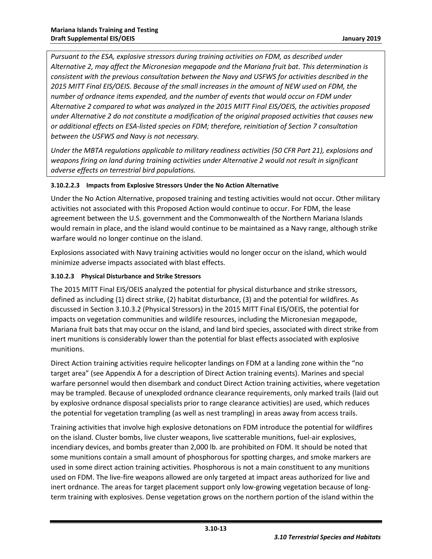*Pursuant to the ESA, explosive stressors during training activities on FDM, as described under Alternative 2, may affect the Micronesian megapode and the Mariana fruit bat. This determination is consistent with the previous consultation between the Navy and USFWS for activities described in the 2015 MITT Final EIS/OEIS. Because of the small increases in the amount of NEW used on FDM, the number of ordnance items expended, and the number of events that would occur on FDM under Alternative 2 compared to what was analyzed in the 2015 MITT Final EIS/OEIS, the activities proposed under Alternative 2 do not constitute a modification of the original proposed activities that causes new or additional effects on ESA-listed species on FDM; therefore, reinitiation of Section 7 consultation between the USFWS and Navy is not necessary.*

*Under the MBTA regulations applicable to military readiness activities (50 CFR Part 21), explosions and weapons firing on land during training activities under Alternative 2 would not result in significant adverse effects on terrestrial bird populations.*

### **3.10.2.2.3 Impacts from Explosive Stressors Under the No Action Alternative**

Under the No Action Alternative, proposed training and testing activities would not occur. Other military activities not associated with this Proposed Action would continue to occur. For FDM, the lease agreement between the U.S. government and the Commonwealth of the Northern Mariana Islands would remain in place, and the island would continue to be maintained as a Navy range, although strike warfare would no longer continue on the island.

Explosions associated with Navy training activities would no longer occur on the island, which would minimize adverse impacts associated with blast effects.

#### <span id="page-16-0"></span>**3.10.2.3 Physical Disturbance and Strike Stressors**

The 2015 MITT Final EIS/OEIS analyzed the potential for physical disturbance and strike stressors, defined as including (1) direct strike, (2) habitat disturbance, (3) and the potential for wildfires. As discussed in Section 3.10.3.2 (Physical Stressors) in the 2015 MITT Final EIS/OEIS, the potential for impacts on vegetation communities and wildlife resources, including the Micronesian megapode, Mariana fruit bats that may occur on the island, and land bird species, associated with direct strike from inert munitions is considerably lower than the potential for blast effects associated with explosive munitions.

Direct Action training activities require helicopter landings on FDM at a landing zone within the "no target area" (see Appendix A for a description of Direct Action training events). Marines and special warfare personnel would then disembark and conduct Direct Action training activities, where vegetation may be trampled. Because of unexploded ordnance clearance requirements, only marked trails (laid out by explosive ordnance disposal specialists prior to range clearance activities) are used, which reduces the potential for vegetation trampling (as well as nest trampling) in areas away from access trails.

Training activities that involve high explosive detonations on FDM introduce the potential for wildfires on the island. Cluster bombs, live cluster weapons, live scatterable munitions, fuel-air explosives, incendiary devices, and bombs greater than 2,000 lb. are prohibited on FDM. It should be noted that some munitions contain a small amount of phosphorous for spotting charges, and smoke markers are used in some direct action training activities. Phosphorous is not a main constituent to any munitions used on FDM. The live-fire weapons allowed are only targeted at impact areas authorized for live and inert ordnance. The areas for target placement support only low-growing vegetation because of longterm training with explosives. Dense vegetation grows on the northern portion of the island within the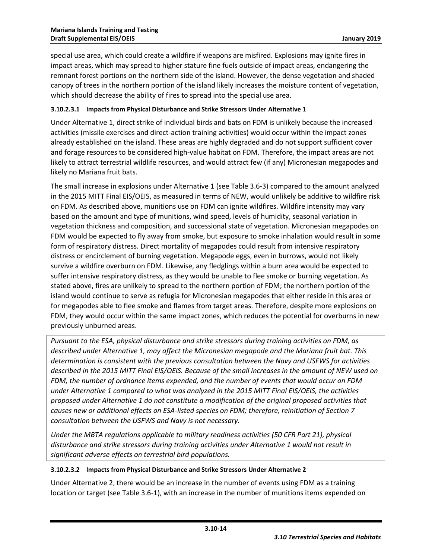special use area, which could create a wildfire if weapons are misfired. Explosions may ignite fires in impact areas, which may spread to higher stature fine fuels outside of impact areas, endangering the remnant forest portions on the northern side of the island. However, the dense vegetation and shaded canopy of trees in the northern portion of the island likely increases the moisture content of vegetation, which should decrease the ability of fires to spread into the special use area.

#### **3.10.2.3.1 Impacts from Physical Disturbance and Strike Stressors Under Alternative 1**

Under Alternative 1, direct strike of individual birds and bats on FDM is unlikely because the increased activities (missile exercises and direct-action training activities) would occur within the impact zones already established on the island. These areas are highly degraded and do not support sufficient cover and forage resources to be considered high-value habitat on FDM. Therefore, the impact areas are not likely to attract terrestrial wildlife resources, and would attract few (if any) Micronesian megapodes and likely no Mariana fruit bats.

The small increase in explosions under Alternative 1 (see Table 3.6-3) compared to the amount analyzed in the 2015 MITT Final EIS/OEIS, as measured in terms of NEW, would unlikely be additive to wildfire risk on FDM. As described above, munitions use on FDM can ignite wildfires. Wildfire intensity may vary based on the amount and type of munitions, wind speed, levels of humidity, seasonal variation in vegetation thickness and composition, and successional state of vegetation. Micronesian megapodes on FDM would be expected to fly away from smoke, but exposure to smoke inhalation would result in some form of respiratory distress. Direct mortality of megapodes could result from intensive respiratory distress or encirclement of burning vegetation. Megapode eggs, even in burrows, would not likely survive a wildfire overburn on FDM. Likewise, any fledglings within a burn area would be expected to suffer intensive respiratory distress, as they would be unable to flee smoke or burning vegetation. As stated above, fires are unlikely to spread to the northern portion of FDM; the northern portion of the island would continue to serve as refugia for Micronesian megapodes that either reside in this area or for megapodes able to flee smoke and flames from target areas. Therefore, despite more explosions on FDM, they would occur within the same impact zones, which reduces the potential for overburns in new previously unburned areas.

*Pursuant to the ESA, physical disturbance and strike stressors during training activities on FDM, as described under Alternative 1, may affect the Micronesian megapode and the Mariana fruit bat. This determination is consistent with the previous consultation between the Navy and USFWS for activities described in the 2015 MITT Final EIS/OEIS. Because of the small increases in the amount of NEW used on FDM, the number of ordnance items expended, and the number of events that would occur on FDM under Alternative 1 compared to what was analyzed in the 2015 MITT Final EIS/OEIS, the activities proposed under Alternative 1 do not constitute a modification of the original proposed activities that causes new or additional effects on ESA-listed species on FDM; therefore, reinitiation of Section 7 consultation between the USFWS and Navy is not necessary.*

*Under the MBTA regulations applicable to military readiness activities (50 CFR Part 21), physical disturbance and strike stressors during training activities under Alternative 1 would not result in significant adverse effects on terrestrial bird populations.*

#### **3.10.2.3.2 Impacts from Physical Disturbance and Strike Stressors Under Alternative 2**

Under Alternative 2, there would be an increase in the number of events using FDM as a training location or target (see Table 3.6-1), with an increase in the number of munitions items expended on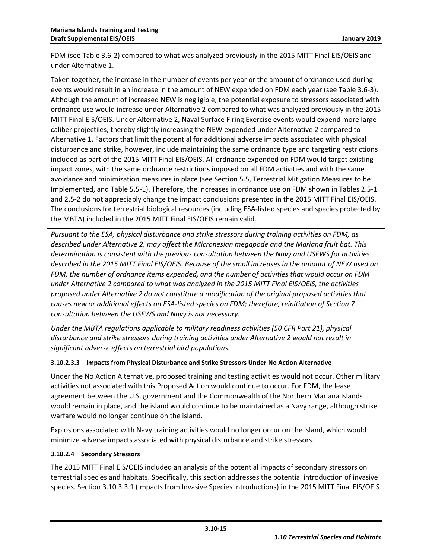FDM (see Table 3.6-2) compared to what was analyzed previously in the 2015 MITT Final EIS/OEIS and under Alternative 1.

Taken together, the increase in the number of events per year or the amount of ordnance used during events would result in an increase in the amount of NEW expended on FDM each year (see Table 3.6-3). Although the amount of increased NEW is negligible, the potential exposure to stressors associated with ordnance use would increase under Alternative 2 compared to what was analyzed previously in the 2015 MITT Final EIS/OEIS. Under Alternative 2, Naval Surface Firing Exercise events would expend more largecaliber projectiles, thereby slightly increasing the NEW expended under Alternative 2 compared to Alternative 1. Factors that limit the potential for additional adverse impacts associated with physical disturbance and strike, however, include maintaining the same ordnance type and targeting restrictions included as part of the 2015 MITT Final EIS/OEIS. All ordnance expended on FDM would target existing impact zones, with the same ordnance restrictions imposed on all FDM activities and with the same avoidance and minimization measures in place (see Section 5.5, Terrestrial Mitigation Measures to be Implemented, and Table 5.5-1). Therefore, the increases in ordnance use on FDM shown in Tables 2.5-1 and 2.5-2 do not appreciably change the impact conclusions presented in the 2015 MITT Final EIS/OEIS. The conclusions for terrestrial biological resources (including ESA-listed species and species protected by the MBTA) included in the 2015 MITT Final EIS/OEIS remain valid.

*Pursuant to the ESA, physical disturbance and strike stressors during training activities on FDM, as described under Alternative 2, may affect the Micronesian megapode and the Mariana fruit bat. This determination is consistent with the previous consultation between the Navy and USFWS for activities described in the 2015 MITT Final EIS/OEIS. Because of the small increases in the amount of NEW used on FDM, the number of ordnance items expended, and the number of activities that would occur on FDM under Alternative 2 compared to what was analyzed in the 2015 MITT Final EIS/OEIS, the activities proposed under Alternative 2 do not constitute a modification of the original proposed activities that causes new or additional effects on ESA-listed species on FDM; therefore, reinitiation of Section 7 consultation between the USFWS and Navy is not necessary.*

*Under the MBTA regulations applicable to military readiness activities (50 CFR Part 21), physical disturbance and strike stressors during training activities under Alternative 2 would not result in significant adverse effects on terrestrial bird populations.*

### **3.10.2.3.3 Impacts from Physical Disturbance and Strike Stressors Under No Action Alternative**

Under the No Action Alternative, proposed training and testing activities would not occur. Other military activities not associated with this Proposed Action would continue to occur. For FDM, the lease agreement between the U.S. government and the Commonwealth of the Northern Mariana Islands would remain in place, and the island would continue to be maintained as a Navy range, although strike warfare would no longer continue on the island.

Explosions associated with Navy training activities would no longer occur on the island, which would minimize adverse impacts associated with physical disturbance and strike stressors.

### <span id="page-18-0"></span>**3.10.2.4 Secondary Stressors**

The 2015 MITT Final EIS/OEIS included an analysis of the potential impacts of secondary stressors on terrestrial species and habitats. Specifically, this section addresses the potential introduction of invasive species. Section 3.10.3.3.1 (Impacts from Invasive Species Introductions) in the 2015 MITT Final EIS/OEIS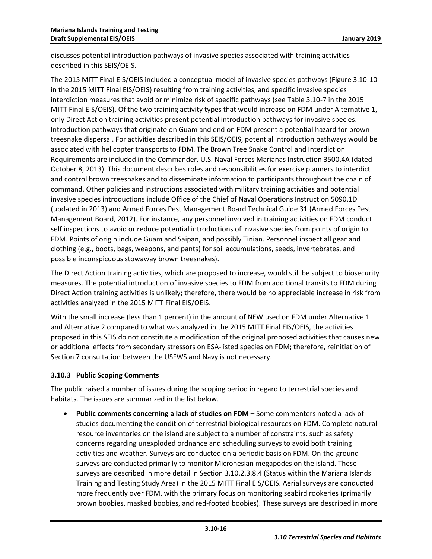discusses potential introduction pathways of invasive species associated with training activities described in this SEIS/OEIS.

The 2015 MITT Final EIS/OEIS included a conceptual model of invasive species pathways (Figure 3.10-10 in the 2015 MITT Final EIS/OEIS) resulting from training activities, and specific invasive species interdiction measures that avoid or minimize risk of specific pathways (see Table 3.10-7 in the 2015 MITT Final EIS/OEIS). Of the two training activity types that would increase on FDM under Alternative 1, only Direct Action training activities present potential introduction pathways for invasive species. Introduction pathways that originate on Guam and end on FDM present a potential hazard for brown treesnake dispersal. For activities described in this SEIS/OEIS, potential introduction pathways would be associated with helicopter transports to FDM. The Brown Tree Snake Control and Interdiction Requirements are included in the Commander, U.S. Naval Forces Marianas Instruction 3500.4A (dated October 8, 2013). This document describes roles and responsibilities for exercise planners to interdict and control brown treesnakes and to disseminate information to participants throughout the chain of command. Other policies and instructions associated with military training activities and potential invasive species introductions include Office of the Chief of Naval Operations Instruction 5090.1D (updated in 2013) and Armed Forces Pest Management Board Technical Guide 31 [\(Armed Forces Pest](#page-22-14)  [Management Board, 2012\)](#page-22-14). For instance, any personnel involved in training activities on FDM conduct self inspections to avoid or reduce potential introductions of invasive species from points of origin to FDM. Points of origin include Guam and Saipan, and possibly Tinian. Personnel inspect all gear and clothing (e.g., boots, bags, weapons, and pants) for soil accumulations, seeds, invertebrates, and possible inconspicuous stowaway brown treesnakes).

The Direct Action training activities, which are proposed to increase, would still be subject to biosecurity measures. The potential introduction of invasive species to FDM from additional transits to FDM during Direct Action training activities is unlikely; therefore, there would be no appreciable increase in risk from activities analyzed in the 2015 MITT Final EIS/OEIS.

With the small increase (less than 1 percent) in the amount of NEW used on FDM under Alternative 1 and Alternative 2 compared to what was analyzed in the 2015 MITT Final EIS/OEIS, the activities proposed in this SEIS do not constitute a modification of the original proposed activities that causes new or additional effects from secondary stressors on ESA-listed species on FDM; therefore, reinitiation of Section 7 consultation between the USFWS and Navy is not necessary.

### <span id="page-19-0"></span>**3.10.3 Public Scoping Comments**

The public raised a number of issues during the scoping period in regard to terrestrial species and habitats. The issues are summarized in the list below.

 **Public comments concerning a lack of studies on FDM –** Some commenters noted a lack of studies documenting the condition of terrestrial biological resources on FDM. Complete natural resource inventories on the island are subject to a number of constraints, such as safety concerns regarding unexploded ordnance and scheduling surveys to avoid both training activities and weather. Surveys are conducted on a periodic basis on FDM. On-the-ground surveys are conducted primarily to monitor Micronesian megapodes on the island. These surveys are described in more detail in Section 3.10.2.3.8.4 (Status within the Mariana Islands Training and Testing Study Area) in the 2015 MITT Final EIS/OEIS. Aerial surveys are conducted more frequently over FDM, with the primary focus on monitoring seabird rookeries (primarily brown boobies, masked boobies, and red-footed boobies). These surveys are described in more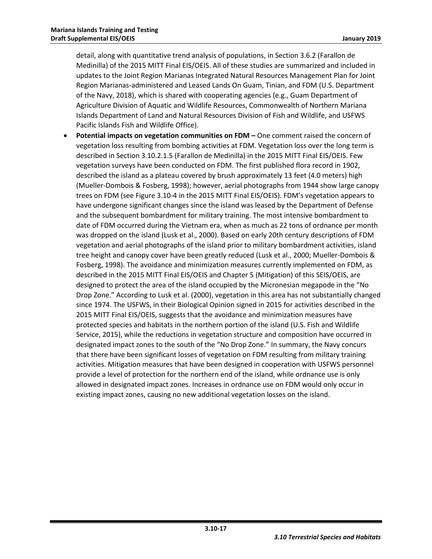detail, along with quantitative trend analysis of populations, in Section 3.6.2 (Farallon de Medinilla) of the 2015 MITT Final EIS/OEIS. All of these studies are summarized and included in updates to the Joint Region Marianas Integrated Natural Resources Management Plan for Joint Region Marianas-administered and Leased Lands On Guam, Tinian, and FDM [\(U.S. Department](#page-22-15)  [of the Navy, 2018\)](#page-22-15), which is shared with cooperating agencies (e.g., Guam Department of Agriculture Division of Aquatic and Wildlife Resources, Commonwealth of Northern Mariana Islands Department of Land and Natural Resources Division of Fish and Wildlife, and USFWS Pacific Islands Fish and Wildlife Office).

 **Potential impacts on vegetation communities on FDM –** One comment raised the concern of vegetation loss resulting from bombing activities at FDM. Vegetation loss over the long term is described in Section 3.10.2.1.5 (Farallon de Medinilla) in the 2015 MITT Final EIS/OEIS. Few vegetation surveys have been conducted on FDM. The first published flora record in 1902, described the island as a plateau covered by brush approximately 13 feet (4.0 meters) high [\(Mueller-Dombois & Fosberg, 1998\)](#page-22-2); however, aerial photographs from 1944 show large canopy trees on FDM (see Figure 3.10-4 in the 2015 MITT Final EIS/OEIS). FDM's vegetation appears to have undergone significant changes since the island was leased by the Department of Defense and the subsequent bombardment for military training. The most intensive bombardment to date of FDM occurred during the Vietnam era, when as much as 22 tons of ordnance per month was dropped on the island [\(Lusk et al., 2000\)](#page-22-1). Based on early 20th century descriptions of FDM vegetation and aerial photographs of the island prior to military bombardment activities, island tree height and canopy cover have been greatly reduced [\(Lusk et al., 2000;](#page-22-1) [Mueller-Dombois &](#page-22-2)  [Fosberg, 1998\)](#page-22-2). The avoidance and minimization measures currently implemented on FDM, as described in the 2015 MITT Final EIS/OEIS and Chapter 5 (Mitigation) of this SEIS/OEIS, are designed to protect the area of the island occupied by the Micronesian megapode in the "No Drop Zone." According to Lusk et al. (2000), vegetation in this area has not substantially changed since 1974. The USFWS, in their Biological Opinion signed in 2015 for activities described in the 2015 MITT Final EIS/OEIS, suggests that the avoidance and minimization measures have protected species and habitats in the northern portion of the island [\(U.S. Fish and Wildlife](#page-23-3)  [Service, 2015\)](#page-23-3), while the reductions in vegetation structure and composition have occurred in designated impact zones to the south of the "No Drop Zone." In summary, the Navy concurs that there have been significant losses of vegetation on FDM resulting from military training activities. Mitigation measures that have been designed in cooperation with USFWS personnel provide a level of protection for the northern end of the island, while ordnance use is only allowed in designated impact zones. Increases in ordnance use on FDM would only occur in existing impact zones, causing no new additional vegetation losses on the island.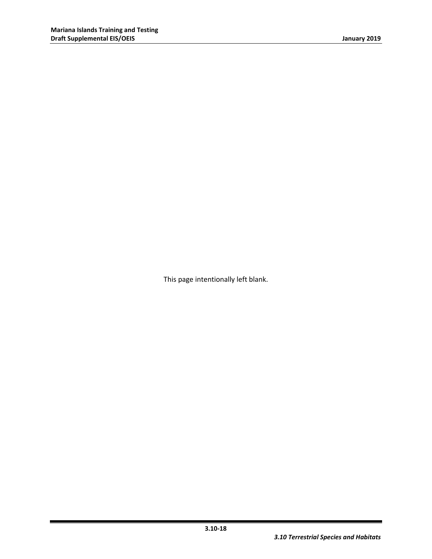This page intentionally left blank.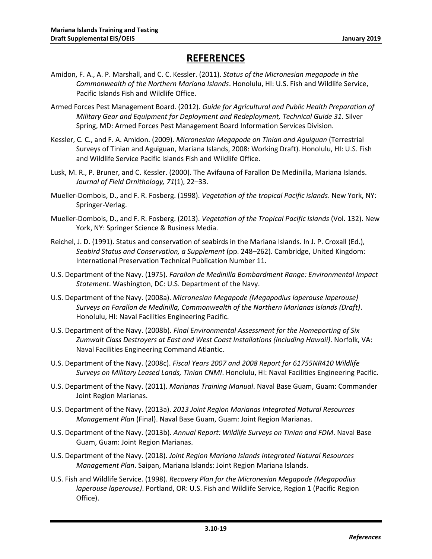# **REFERENCES**

- <span id="page-22-8"></span>Amidon, F. A., A. P. Marshall, and C. C. Kessler. (2011). *Status of the Micronesian megapode in the Commonwealth of the Northern Mariana Islands*. Honolulu, HI: U.S. Fish and Wildlife Service, Pacific Islands Fish and Wildlife Office.
- <span id="page-22-14"></span>Armed Forces Pest Management Board. (2012). *Guide for Agricultural and Public Health Preparation of Military Gear and Equipment for Deployment and Redeployment, Technical Guide 31*. Silver Spring, MD: Armed Forces Pest Management Board Information Services Division.
- <span id="page-22-9"></span>Kessler, C. C., and F. A. Amidon. (2009). *Micronesian Megapode on Tinian and Aguiguan* (Terrestrial Surveys of Tinian and Aguiguan, Mariana Islands, 2008: Working Draft). Honolulu, HI: U.S. Fish and Wildlife Service Pacific Islands Fish and Wildlife Office.
- <span id="page-22-1"></span>Lusk, M. R., P. Bruner, and C. Kessler. (2000). The Avifauna of Farallon De Medinilla, Mariana Islands. *Journal of Field Ornithology, 71*(1), 22–33.
- <span id="page-22-2"></span>Mueller-Dombois, D., and F. R. Fosberg. (1998). *Vegetation of the tropical Pacific islands*. New York, NY: Springer-Verlag.
- <span id="page-22-3"></span>Mueller-Dombois, D., and F. R. Fosberg. (2013). *Vegetation of the Tropical Pacific Islands* (Vol. 132). New York, NY: Springer Science & Business Media.
- <span id="page-22-12"></span>Reichel, J. D. (1991). Status and conservation of seabirds in the Mariana Islands. In J. P. Croxall (Ed.), *Seabird Status and Conservation, a Supplement* (pp. 248–262). Cambridge, United Kingdom: International Preservation Technical Publication Number 11.
- <span id="page-22-0"></span>U.S. Department of the Navy. (1975). *Farallon de Medinilla Bombardment Range: Environmental Impact Statement*. Washington, DC: U.S. Department of the Navy.
- <span id="page-22-7"></span>U.S. Department of the Navy. (2008a). *Micronesian Megapode (Megapodius laperouse laperouse) Surveys on Farallon de Medinilla, Commonwealth of the Northern Marianas Islands (Draft)*. Honolulu, HI: Naval Facilities Engineering Pacific.
- <span id="page-22-10"></span>U.S. Department of the Navy. (2008b). *Final Environmental Assessment for the Homeporting of Six Zumwalt Class Destroyers at East and West Coast Installations (including Hawaii)*. Norfolk, VA: Naval Facilities Engineering Command Atlantic.
- <span id="page-22-11"></span>U.S. Department of the Navy. (2008c). *Fiscal Years 2007 and 2008 Report for 61755NR410 Wildlife Surveys on Military Leased Lands, Tinian CNMI*. Honolulu, HI: Naval Facilities Engineering Pacific.
- <span id="page-22-13"></span>U.S. Department of the Navy. (2011). *Marianas Training Manual*. Naval Base Guam, Guam: Commander Joint Region Marianas.
- <span id="page-22-4"></span>U.S. Department of the Navy. (2013a). *2013 Joint Region Marianas Integrated Natural Resources Management Plan* (Final). Naval Base Guam, Guam: Joint Region Marianas.
- <span id="page-22-6"></span>U.S. Department of the Navy. (2013b). *Annual Report: Wildlife Surveys on Tinian and FDM*. Naval Base Guam, Guam: Joint Region Marianas.
- <span id="page-22-15"></span>U.S. Department of the Navy. (2018). *Joint Region Mariana Islands Integrated Natural Resources Management Plan*. Saipan, Mariana Islands: Joint Region Mariana Islands.
- <span id="page-22-5"></span>U.S. Fish and Wildlife Service. (1998). *Recovery Plan for the Micronesian Megapode (Megapodius laperouse laperouse)*. Portland, OR: U.S. Fish and Wildlife Service, Region 1 (Pacific Region Office).